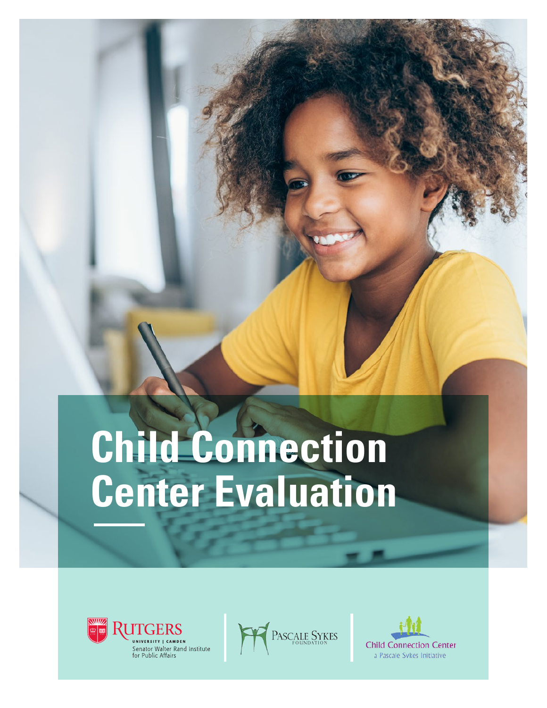## **Child Connection Center Evaluation**





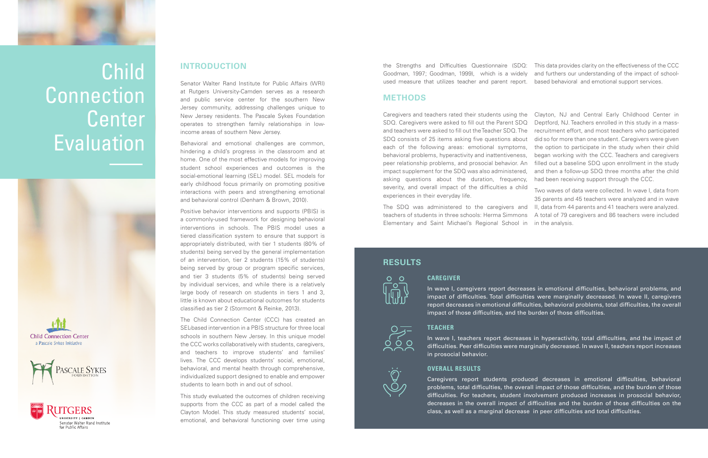

### Child **Connection** Center **Evaluation**









the Strengths and Difficulties Questionnaire (SDQ: Goodman, 1997; Goodman, 1999), which is a widely used measure that utilizes teacher and parent report. This data provides clarity on the effectiveness of the CCC and furthers our understanding of the impact of schoolbased behavioral and emotional support services.

### **METHODS**

Caregivers and teachers rated their students using the SDQ. Caregivers were asked to fill out the Parent SDQ and teachers were asked to fill out the Teacher SDQ. The SDQ consists of 25 items asking five questions about each of the following areas: emotional symptoms, behavioral problems, hyperactivity and inattentiveness, peer relationship problems, and prosocial behavior. An impact supplement for the SDQ was also administered, asking questions about the duration, frequency, severity, and overall impact of the difficulties a child Clayton, NJ and Central Early Childhood Center in Deptford, NJ. Teachers enrolled in this study in a massrecruitment effort, and most teachers who participated did so for more than one student. Caregivers were given the option to participate in the study when their child began working with the CCC. Teachers and caregivers filled out a baseline SDQ upon enrollment in the study and then a follow-up SDQ three months after the child had been receiving support through the CCC. Two waves of data were collected. In wave I, data from

experiences in their everyday life. The SDQ was administered to the caregivers and II, data from 44 parents and 41 teachers were analyzed. teachers of students in three schools: Herma Simmons Elementary and Saint Michael's Regional School in in the analysis. 35 parents and 45 teachers were analyzed and in wave A total of 79 caregivers and 86 teachers were included

### **INTRODUCTION**

Senator Walter Rand Institute for Public Affairs (WRI) at Rutgers University-Camden serves as a research and public service center for the southern New Jersey community, addressing challenges unique to New Jersey residents. The Pascale Sykes Foundation operates to strengthen family relationships in lowincome areas of southern New Jersey.

Behavioral and emotional challenges are common, hindering a child's progress in the classroom and at home. One of the most effective models for improving student school experiences and outcomes is the social-emotional learning (SEL) model. SEL models for early childhood focus primarily on promoting positive interactions with peers and strengthening emotional and behavioral control (Denham & Brown, 2010).

Positive behavior interventions and supports (PBIS) is a commonly-used framework for designing behavioral interventions in schools. The PBIS model uses a tiered classification system to ensure that support is appropriately distributed, with tier 1 students (80% of students) being served by the general implementation of an intervention, tier 2 students (15% of students) being served by group or program specific services, and tier 3 students (5% of students) being served by individual services, and while there is a relatively large body of research on students in tiers 1 and 3, little is known about educational outcomes for students classified as tier 2 (Stormont & Reinke, 2013).

The Child Connection Center (CCC) has created an SEL-based intervention in a PBIS structure for three local schools in southern New Jersey. In this unique model the CCC works collaboratively with students, caregivers, and teachers to improve students' and families' lives. The CCC develops students' social, emotional, behavioral, and mental health through comprehensive, individualized support designed to enable and empower students to learn both in and out of school.

This study evaluated the outcomes of children receiving supports from the CCC as part of a model called the Clayton Model. This study measured students' social, emotional, and behavioral functioning over time using



In wave I, caregivers report decreases in emotional difficulties, behavioral problems, and impact of difficulties. Total difficulties were marginally decreased. In wave II, caregivers report decreases in emotional difficulties, behavioral problems, total difficulties, the overall impact of those difficulties, and the burden of those difficulties.

#### **TEACHER**



In wave I, teachers report decreases in hyperactivity, total difficulties, and the impact of difficulties. Peer difficulties were marginally decreased. In wave II, teachers report increases

in prosocial behavior.

### **OVERALL RESULTS**

Caregivers report students produced decreases in emotional difficulties, behavioral problems, total difficulties, the overall impact of those difficulties, and the burden of those difficulties. For teachers, student involvement produced increases in prosocial behavior, decreases in the overall impact of difficulties and the burden of those difficulties on the class, as well as a marginal decrease in peer difficulties and total difficulties.

### **RESULTS**

# $O$   $O$